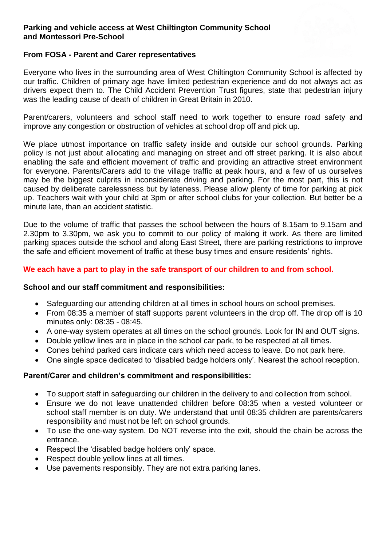### **Parking and vehicle access at West Chiltington Community School and Montessori Pre-School**

### **From FOSA - Parent and Carer representatives**

Everyone who lives in the surrounding area of West Chiltington Community School is affected by our traffic. Children of primary age have limited pedestrian experience and do not always act as drivers expect them to. The Child Accident Prevention Trust figures, state that pedestrian injury was the leading cause of death of children in Great Britain in 2010.

Parent/carers, volunteers and school staff need to work together to ensure road safety and improve any congestion or obstruction of vehicles at school drop off and pick up.

We place utmost importance on traffic safety inside and outside our school grounds. Parking policy is not just about allocating and managing on street and off street parking. It is also about enabling the safe and efficient movement of traffic and providing an attractive street environment for everyone. Parents/Carers add to the village traffic at peak hours, and a few of us ourselves may be the biggest culprits in inconsiderate driving and parking. For the most part, this is not caused by deliberate carelessness but by lateness. Please allow plenty of time for parking at pick up. Teachers wait with your child at 3pm or after school clubs for your collection. But better be a minute late, than an accident statistic.

Due to the volume of traffic that passes the school between the hours of 8.15am to 9.15am and 2.30pm to 3.30pm, we ask you to commit to our policy of making it work. As there are limited parking spaces outside the school and along East Street, there are parking restrictions to improve the safe and efficient movement of traffic at these busy times and ensure residents' rights.

## **We each have a part to play in the safe transport of our children to and from school.**

### **School and our staff commitment and responsibilities:**

- Safeguarding our attending children at all times in school hours on school premises.
- From 08:35 a member of staff supports parent volunteers in the drop off. The drop off is 10 minutes only: 08:35 - 08:45.
- A one-way system operates at all times on the school grounds. Look for IN and OUT signs.
- Double yellow lines are in place in the school car park, to be respected at all times.
- Cones behind parked cars indicate cars which need access to leave. Do not park here.
- One single space dedicated to 'disabled badge holders only'. Nearest the school reception.

### **Parent/Carer and children's commitment and responsibilities:**

- To support staff in safeguarding our children in the delivery to and collection from school.
- Ensure we do not leave unattended children before 08:35 when a vested volunteer or school staff member is on duty. We understand that until 08:35 children are parents/carers responsibility and must not be left on school grounds.
- To use the one-way system. Do NOT reverse into the exit, should the chain be across the entrance.
- Respect the 'disabled badge holders only' space.
- Respect double yellow lines at all times.
- Use pavements responsibly. They are not extra parking lanes.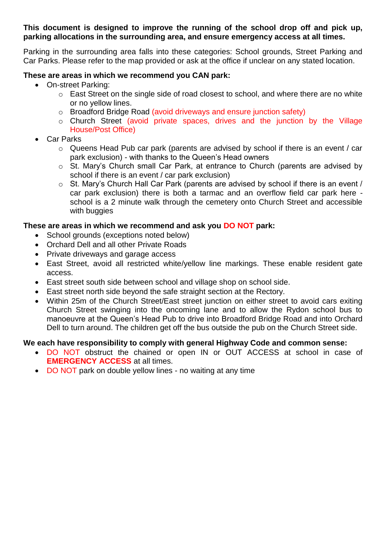**This document is designed to improve the running of the school drop off and pick up, parking allocations in the surrounding area, and ensure emergency access at all times.**

Parking in the surrounding area falls into these categories: School grounds, Street Parking and Car Parks. Please refer to the map provided or ask at the office if unclear on any stated location.

# **These are areas in which we recommend you CAN park:**

- On-street Parking:
	- o East Street on the single side of road closest to school, and where there are no white or no yellow lines.
	- o Broadford Bridge Road (avoid driveways and ensure junction safety)
	- o Church Street (avoid private spaces, drives and the junction by the Village House/Post Office)
- Car Parks
	- o Queens Head Pub car park (parents are advised by school if there is an event / car park exclusion) - with thanks to the Queen's Head owners
	- o St. Mary's Church small Car Park, at entrance to Church (parents are advised by school if there is an event / car park exclusion)
	- o St. Mary's Church Hall Car Park (parents are advised by school if there is an event / car park exclusion) there is both a tarmac and an overflow field car park here school is a 2 minute walk through the cemetery onto Church Street and accessible with buggies

## **These are areas in which we recommend and ask you DO NOT park:**

- School grounds (exceptions noted below)
- Orchard Dell and all other Private Roads
- Private driveways and garage access
- East Street, avoid all restricted white/yellow line markings. These enable resident gate access.
- East street south side between school and village shop on school side.
- East street north side beyond the safe straight section at the Rectory.
- Within 25m of the Church Street/East street junction on either street to avoid cars exiting Church Street swinging into the oncoming lane and to allow the Rydon school bus to manoeuvre at the Queen's Head Pub to drive into Broadford Bridge Road and into Orchard Dell to turn around. The children get off the bus outside the pub on the Church Street side.

### **We each have responsibility to comply with general Highway Code and common sense:**

- DO NOT obstruct the chained or open IN or OUT ACCESS at school in case of **EMERGENCY ACCESS** at all times.
- DO NOT park on double yellow lines no waiting at any time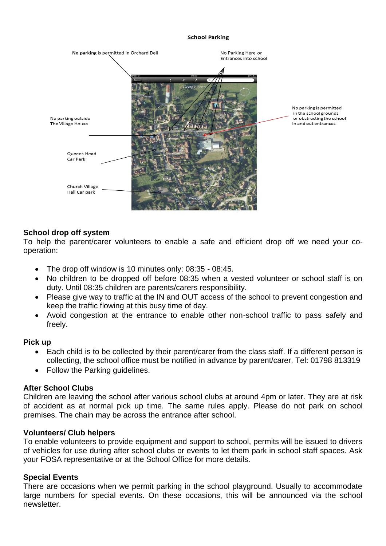#### **School Parking**



## **School drop off system**

To help the parent/carer volunteers to enable a safe and efficient drop off we need your cooperation:

- The drop off window is 10 minutes only: 08:35 08:45.
- No children to be dropped off before 08:35 when a vested volunteer or school staff is on duty. Until 08:35 children are parents/carers responsibility.
- Please give way to traffic at the IN and OUT access of the school to prevent congestion and keep the traffic flowing at this busy time of day.
- Avoid congestion at the entrance to enable other non-school traffic to pass safely and freely.

### **Pick up**

- Each child is to be collected by their parent/carer from the class staff. If a different person is collecting, the school office must be notified in advance by parent/carer. Tel: 01798 813319
- Follow the Parking guidelines.

### **After School Clubs**

Children are leaving the school after various school clubs at around 4pm or later. They are at risk of accident as at normal pick up time. The same rules apply. Please do not park on school premises. The chain may be across the entrance after school.

### **Volunteers/ Club helpers**

To enable volunteers to provide equipment and support to school, permits will be issued to drivers of vehicles for use during after school clubs or events to let them park in school staff spaces. Ask your FOSA representative or at the School Office for more details.

### **Special Events**

There are occasions when we permit parking in the school playground. Usually to accommodate large numbers for special events. On these occasions, this will be announced via the school newsletter.